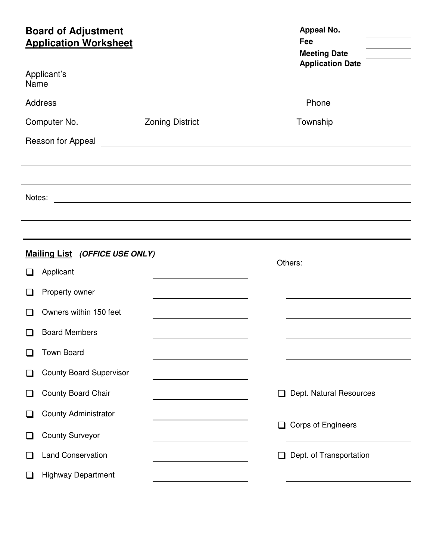# **Board of Adjustment Appeal No. Appeal No. Appeal No.**

| <b>Application Worksheet</b>   |                                                         | Fee<br><b>Meeting Date</b><br><b>Application Date</b>                                                                                                                                                                          |  |  |
|--------------------------------|---------------------------------------------------------|--------------------------------------------------------------------------------------------------------------------------------------------------------------------------------------------------------------------------------|--|--|
| Applicant's<br>Name            | <u> 1980 - Johann Barnett, fransk politik (d. 1980)</u> |                                                                                                                                                                                                                                |  |  |
|                                |                                                         |                                                                                                                                                                                                                                |  |  |
|                                |                                                         |                                                                                                                                                                                                                                |  |  |
|                                |                                                         | Reason for Appeal experience and the set of the set of the set of the set of the set of the set of the set of the set of the set of the set of the set of the set of the set of the set of the set of the set of the set of th |  |  |
|                                |                                                         |                                                                                                                                                                                                                                |  |  |
|                                |                                                         |                                                                                                                                                                                                                                |  |  |
|                                |                                                         | Notes:<br><sub>2</sub>                                                                                                                                                                                                         |  |  |
|                                |                                                         |                                                                                                                                                                                                                                |  |  |
| Mailing List (OFFICE USE ONLY) |                                                         |                                                                                                                                                                                                                                |  |  |
| Applicant<br>H                 |                                                         | Others:                                                                                                                                                                                                                        |  |  |
| Property owner                 | <u> 1980 - Johann Barbara, martxa alemaniar a</u>       |                                                                                                                                                                                                                                |  |  |
| Owners within 150 feet         |                                                         |                                                                                                                                                                                                                                |  |  |
| <b>Board Members</b>           |                                                         |                                                                                                                                                                                                                                |  |  |
| <b>Town Board</b>              |                                                         |                                                                                                                                                                                                                                |  |  |
| <b>County Board Supervisor</b> |                                                         |                                                                                                                                                                                                                                |  |  |
| County Board Chair             |                                                         | Dept. Natural Resources                                                                                                                                                                                                        |  |  |
| <b>County Administrator</b>    |                                                         |                                                                                                                                                                                                                                |  |  |
| <b>County Surveyor</b>         |                                                         | □ Corps of Engineers                                                                                                                                                                                                           |  |  |
| <b>Land Conservation</b>       |                                                         | Dept. of Transportation                                                                                                                                                                                                        |  |  |
| <b>Highway Department</b>      |                                                         |                                                                                                                                                                                                                                |  |  |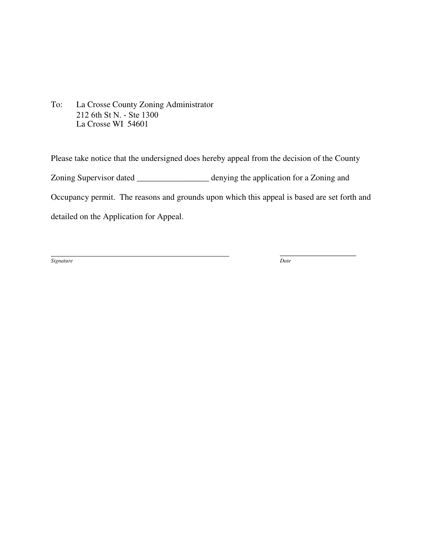To: La Crosse County Zoning Administrator 212 6th St N. - Ste 1300 La Crosse WI 54601

Please take notice that the undersigned does hereby appeal from the decision of the County Zoning Supervisor dated \_\_\_\_\_\_\_\_\_\_\_\_\_\_\_\_\_ denying the application for a Zoning and Occupancy permit. The reasons and grounds upon which this appeal is based are set forth and detailed on the Application for Appeal.

*Signature Date* 

\_\_\_\_\_\_\_\_\_\_\_\_\_\_\_\_\_\_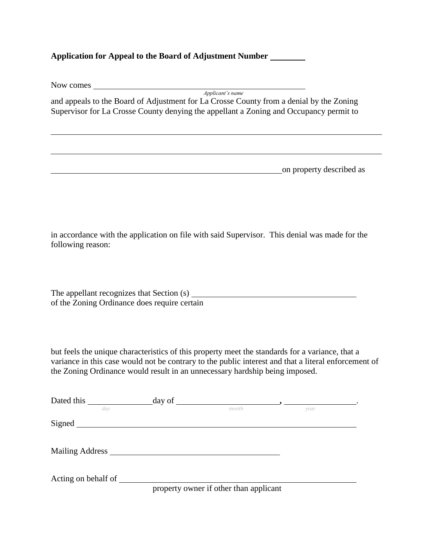### **Application for Appeal to the Board of Adjustment Number**

| Now comes Now comes                                                                                                                                                                                                                                                                    |                  |      |                          |
|----------------------------------------------------------------------------------------------------------------------------------------------------------------------------------------------------------------------------------------------------------------------------------------|------------------|------|--------------------------|
| and appeals to the Board of Adjustment for La Crosse County from a denial by the Zoning<br>Supervisor for La Crosse County denying the appellant a Zoning and Occupancy permit to                                                                                                      | Applicant's name |      |                          |
|                                                                                                                                                                                                                                                                                        |                  |      |                          |
|                                                                                                                                                                                                                                                                                        |                  |      | on property described as |
|                                                                                                                                                                                                                                                                                        |                  |      |                          |
| in accordance with the application on file with said Supervisor. This denial was made for the<br>following reason:                                                                                                                                                                     |                  |      |                          |
| The appellant recognizes that Section (s)<br>of the Zoning Ordinance does require certain                                                                                                                                                                                              |                  |      |                          |
| but feels the unique characteristics of this property meet the standards for a variance, that a<br>variance in this case would not be contrary to the public interest and that a literal enforcement of<br>the Zoning Ordinance would result in an unnecessary hardship being imposed. |                  |      |                          |
|                                                                                                                                                                                                                                                                                        | month            | vear |                          |
| Signed <u>and</u> the state of the state of the state of the state of the state of the state of the state of the state of the state of the state of the state of the state of the state of the state of the state of the state of t                                                    |                  |      |                          |
| <b>Mailing Address</b>                                                                                                                                                                                                                                                                 |                  |      |                          |

Acting on behalf of

property owner if other than applicant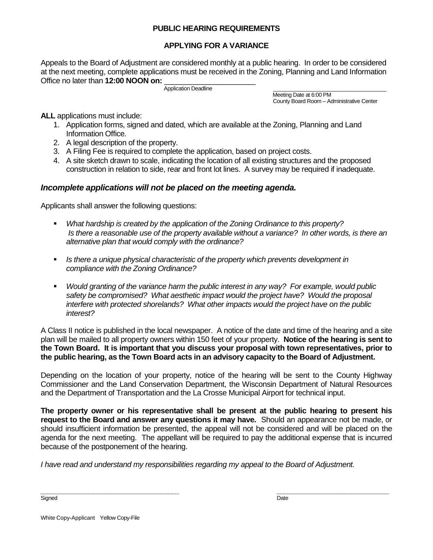#### **PUBLIC HEARING REQUIREMENTS**

#### **APPLYING FOR A VARIANCE**

Appeals to the Board of Adjustment are considered monthly at a public hearing. In order to be considered at the next meeting, complete applications must be received in the Zoning, Planning and Land Information Office no later than **12:00 NOON on:** \_\_\_\_\_\_\_\_\_\_\_\_\_\_\_\_\_\_\_\_\_\_

Application Deadline\_\_\_\_\_\_\_\_\_\_\_\_\_\_\_\_\_\_\_\_\_\_\_\_\_\_\_\_\_\_\_\_\_\_\_\_\_\_

 Meeting Date at 6:00 PM County Board Room – Administrative Center

**ALL** applications must include:

- 1. Application forms, signed and dated, which are available at the Zoning, Planning and Land Information Office.
- 2. A legal description of the property.
- 3. A Filing Fee is required to complete the application, based on project costs.
- 4. A site sketch drawn to scale, indicating the location of all existing structures and the proposed construction in relation to side, rear and front lot lines. A survey may be required if inadequate.

#### *Incomplete applications will not be placed on the meeting agenda.*

Applicants shall answer the following questions:

- *What hardship is created by the application of the Zoning Ordinance to this property? Is there a reasonable use of the property available without a variance? In other words, is there an alternative plan that would comply with the ordinance?*
- *Is there a unique physical characteristic of the property which prevents development in compliance with the Zoning Ordinance?*
- *Would granting of the variance harm the public interest in any way? For example, would public safety be compromised? What aesthetic impact would the project have? Would the proposal interfere with protected shorelands? What other impacts would the project have on the public interest?*

A Class II notice is published in the local newspaper. A notice of the date and time of the hearing and a site plan will be mailed to all property owners within 150 feet of your property. **Notice of the hearing is sent to the Town Board. It is important that you discuss your proposal with town representatives, prior to the public hearing, as the Town Board acts in an advisory capacity to the Board of Adjustment.** 

Depending on the location of your property, notice of the hearing will be sent to the County Highway Commissioner and the Land Conservation Department, the Wisconsin Department of Natural Resources and the Department of Transportation and the La Crosse Municipal Airport for technical input.

**The property owner or his representative shall be present at the public hearing to present his request to the Board and answer any questions it may have.** Should an appearance not be made, or should insufficient information be presented, the appeal will not be considered and will be placed on the agenda for the next meeting. The appellant will be required to pay the additional expense that is incurred because of the postponement of the hearing.

*I have read and understand my responsibilities regarding my appeal to the Board of Adjustment.* 

*\_\_\_\_\_\_\_\_\_\_\_\_\_\_\_\_\_\_\_\_\_\_\_\_\_\_\_\_\_\_\_\_\_\_\_\_\_ \_\_\_\_\_\_\_\_\_\_\_\_\_\_\_\_\_\_\_\_\_\_\_\_\_\_\_\_\_\_*  Signed **Date** 

White Copy-Applicant Yellow Copy-File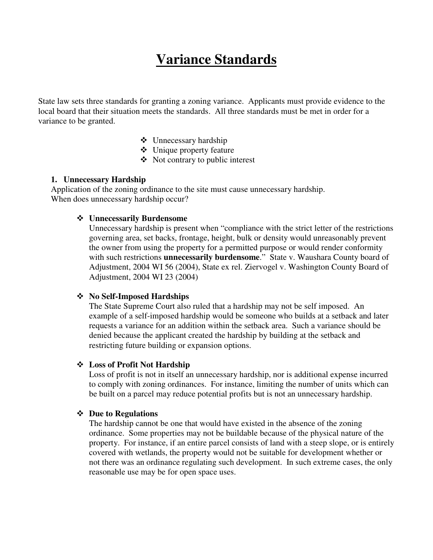# **Variance Standards**

State law sets three standards for granting a zoning variance. Applicants must provide evidence to the local board that their situation meets the standards. All three standards must be met in order for a variance to be granted.

- $\div$  Unnecessary hardship
- Unique property feature
- $\triangleleft$  Not contrary to public interest

#### **1. Unnecessary Hardship**

Application of the zoning ordinance to the site must cause unnecessary hardship. When does unnecessary hardship occur?

#### **Unnecessarily Burdensome**

Unnecessary hardship is present when "compliance with the strict letter of the restrictions governing area, set backs, frontage, height, bulk or density would unreasonably prevent the owner from using the property for a permitted purpose or would render conformity with such restrictions **unnecessarily burdensome**." State v. Waushara County board of Adjustment, 2004 WI 56 (2004), State ex rel. Ziervogel v. Washington County Board of Adjustment, 2004 WI 23 (2004)

#### **No Self-Imposed Hardships**

The State Supreme Court also ruled that a hardship may not be self imposed. An example of a self-imposed hardship would be someone who builds at a setback and later requests a variance for an addition within the setback area. Such a variance should be denied because the applicant created the hardship by building at the setback and restricting future building or expansion options.

#### **Loss of Profit Not Hardship**

Loss of profit is not in itself an unnecessary hardship, nor is additional expense incurred to comply with zoning ordinances. For instance, limiting the number of units which can be built on a parcel may reduce potential profits but is not an unnecessary hardship.

#### **Due to Regulations**

The hardship cannot be one that would have existed in the absence of the zoning ordinance. Some properties may not be buildable because of the physical nature of the property. For instance, if an entire parcel consists of land with a steep slope, or is entirely covered with wetlands, the property would not be suitable for development whether or not there was an ordinance regulating such development. In such extreme cases, the only reasonable use may be for open space uses.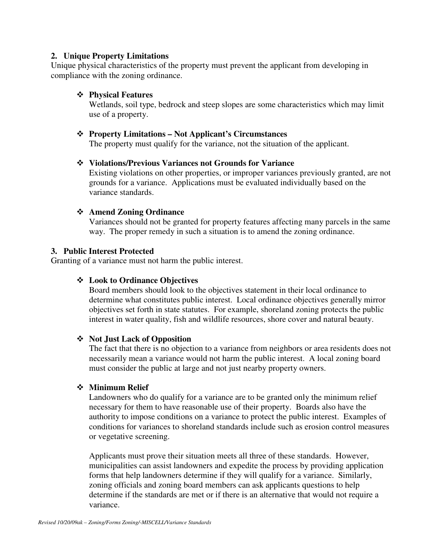#### **2. Unique Property Limitations**

Unique physical characteristics of the property must prevent the applicant from developing in compliance with the zoning ordinance.

#### **Physical Features**

Wetlands, soil type, bedrock and steep slopes are some characteristics which may limit use of a property.

#### **Property Limitations – Not Applicant's Circumstances**

The property must qualify for the variance, not the situation of the applicant.

#### **Violations/Previous Variances not Grounds for Variance**

Existing violations on other properties, or improper variances previously granted, are not grounds for a variance. Applications must be evaluated individually based on the variance standards.

#### **Amend Zoning Ordinance**

Variances should not be granted for property features affecting many parcels in the same way. The proper remedy in such a situation is to amend the zoning ordinance.

#### **3. Public Interest Protected**

Granting of a variance must not harm the public interest.

#### **Look to Ordinance Objectives**

Board members should look to the objectives statement in their local ordinance to determine what constitutes public interest. Local ordinance objectives generally mirror objectives set forth in state statutes. For example, shoreland zoning protects the public interest in water quality, fish and wildlife resources, shore cover and natural beauty.

#### **Not Just Lack of Opposition**

The fact that there is no objection to a variance from neighbors or area residents does not necessarily mean a variance would not harm the public interest. A local zoning board must consider the public at large and not just nearby property owners.

#### **Minimum Relief**

Landowners who do qualify for a variance are to be granted only the minimum relief necessary for them to have reasonable use of their property. Boards also have the authority to impose conditions on a variance to protect the public interest. Examples of conditions for variances to shoreland standards include such as erosion control measures or vegetative screening.

Applicants must prove their situation meets all three of these standards. However, municipalities can assist landowners and expedite the process by providing application forms that help landowners determine if they will qualify for a variance. Similarly, zoning officials and zoning board members can ask applicants questions to help determine if the standards are met or if there is an alternative that would not require a variance.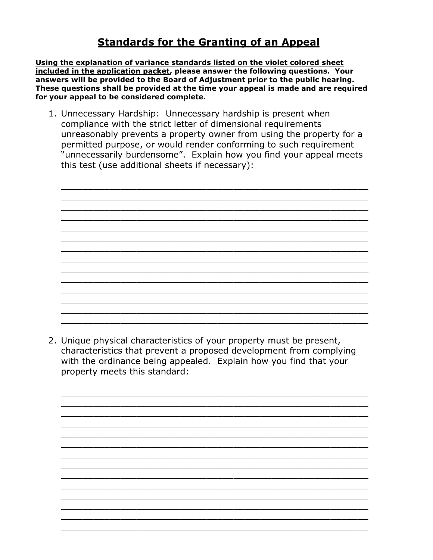## **Standards for the Granting of an Appeal**

**Using the explanation of variance standards listed on the violet colored sheet included in the application packet, please answer the following questions. Your answers will be provided to the Board of Adjustment prior to the public hearing. These questions shall be provided at the time your appeal is made and are required for your appeal to be considered complete.** 

1. Unnecessary Hardship: Unnecessary hardship is present when compliance with the strict letter of dimensional requirements unreasonably prevents a property owner from using the property for a permitted purpose, or would render conforming to such requirement "unnecessarily burdensome". Explain how you find your appeal meets this test (use additional sheets if necessary):

\_\_\_\_\_\_\_\_\_\_\_\_\_\_\_\_\_\_\_\_\_\_\_\_\_\_\_\_\_\_\_\_\_\_\_\_\_\_\_\_\_\_\_\_\_\_\_\_\_\_\_\_\_\_\_\_\_ \_\_\_\_\_\_\_\_\_\_\_\_\_\_\_\_\_\_\_\_\_\_\_\_\_\_\_\_\_\_\_\_\_\_\_\_\_\_\_\_\_\_\_\_\_\_\_\_\_\_\_\_\_\_\_\_\_ \_\_\_\_\_\_\_\_\_\_\_\_\_\_\_\_\_\_\_\_\_\_\_\_\_\_\_\_\_\_\_\_\_\_\_\_\_\_\_\_\_\_\_\_\_\_\_\_\_\_\_\_\_\_\_\_\_ \_\_\_\_\_\_\_\_\_\_\_\_\_\_\_\_\_\_\_\_\_\_\_\_\_\_\_\_\_\_\_\_\_\_\_\_\_\_\_\_\_\_\_\_\_\_\_\_\_\_\_\_\_\_\_\_\_ \_\_\_\_\_\_\_\_\_\_\_\_\_\_\_\_\_\_\_\_\_\_\_\_\_\_\_\_\_\_\_\_\_\_\_\_\_\_\_\_\_\_\_\_\_\_\_\_\_\_\_\_\_\_\_\_\_ \_\_\_\_\_\_\_\_\_\_\_\_\_\_\_\_\_\_\_\_\_\_\_\_\_\_\_\_\_\_\_\_\_\_\_\_\_\_\_\_\_\_\_\_\_\_\_\_\_\_\_\_\_\_\_\_\_ \_\_\_\_\_\_\_\_\_\_\_\_\_\_\_\_\_\_\_\_\_\_\_\_\_\_\_\_\_\_\_\_\_\_\_\_\_\_\_\_\_\_\_\_\_\_\_\_\_\_\_\_\_\_\_\_\_ \_\_\_\_\_\_\_\_\_\_\_\_\_\_\_\_\_\_\_\_\_\_\_\_\_\_\_\_\_\_\_\_\_\_\_\_\_\_\_\_\_\_\_\_\_\_\_\_\_\_\_\_\_\_\_\_\_ \_\_\_\_\_\_\_\_\_\_\_\_\_\_\_\_\_\_\_\_\_\_\_\_\_\_\_\_\_\_\_\_\_\_\_\_\_\_\_\_\_\_\_\_\_\_\_\_\_\_\_\_\_\_\_\_\_ \_\_\_\_\_\_\_\_\_\_\_\_\_\_\_\_\_\_\_\_\_\_\_\_\_\_\_\_\_\_\_\_\_\_\_\_\_\_\_\_\_\_\_\_\_\_\_\_\_\_\_\_\_\_\_\_\_ \_\_\_\_\_\_\_\_\_\_\_\_\_\_\_\_\_\_\_\_\_\_\_\_\_\_\_\_\_\_\_\_\_\_\_\_\_\_\_\_\_\_\_\_\_\_\_\_\_\_\_\_\_\_\_\_\_ \_\_\_\_\_\_\_\_\_\_\_\_\_\_\_\_\_\_\_\_\_\_\_\_\_\_\_\_\_\_\_\_\_\_\_\_\_\_\_\_\_\_\_\_\_\_\_\_\_\_\_\_\_\_\_\_\_ \_\_\_\_\_\_\_\_\_\_\_\_\_\_\_\_\_\_\_\_\_\_\_\_\_\_\_\_\_\_\_\_\_\_\_\_\_\_\_\_\_\_\_\_\_\_\_\_\_\_\_\_\_\_\_\_\_ \_\_\_\_\_\_\_\_\_\_\_\_\_\_\_\_\_\_\_\_\_\_\_\_\_\_\_\_\_\_\_\_\_\_\_\_\_\_\_\_\_\_\_\_\_\_\_\_\_\_\_\_\_\_\_\_\_

2. Unique physical characteristics of your property must be present, characteristics that prevent a proposed development from complying with the ordinance being appealed. Explain how you find that your property meets this standard: